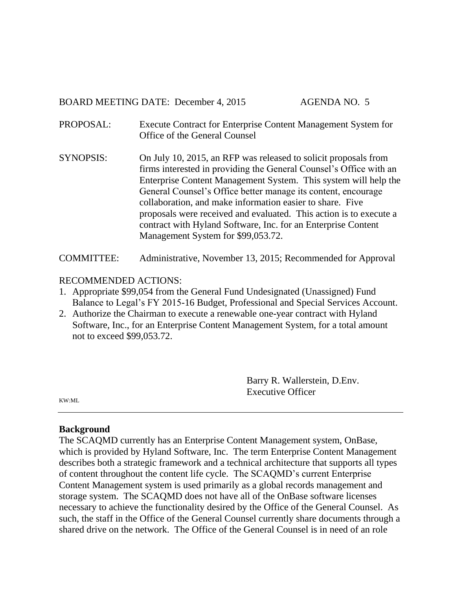BOARD MEETING DATE: December 4, 2015 AGENDA NO. 5

- PROPOSAL: Execute Contract for Enterprise Content Management System for Office of the General Counsel
- SYNOPSIS: On July 10, 2015, an RFP was released to solicit proposals from firms interested in providing the General Counsel's Office with an Enterprise Content Management System. This system will help the General Counsel's Office better manage its content, encourage collaboration, and make information easier to share. Five proposals were received and evaluated. This action is to execute a contract with Hyland Software, Inc. for an Enterprise Content Management System for \$99,053.72.

COMMITTEE: Administrative, November 13, 2015; Recommended for Approval

# RECOMMENDED ACTIONS:

- 1. Appropriate \$99,054 from the General Fund Undesignated (Unassigned) Fund Balance to Legal's FY 2015-16 Budget, Professional and Special Services Account.
- 2. Authorize the Chairman to execute a renewable one-year contract with Hyland Software, Inc., for an Enterprise Content Management System, for a total amount not to exceed \$99,053.72.

Barry R. Wallerstein, D.Env. Executive Officer

KW:ML

## **Background**

The SCAQMD currently has an Enterprise Content Management system, OnBase, which is provided by Hyland Software, Inc. The term Enterprise Content Management describes both a strategic framework and a technical architecture that supports all types of content throughout the content life cycle. The SCAQMD's current Enterprise Content Management system is used primarily as a global records management and storage system. The SCAQMD does not have all of the OnBase software licenses necessary to achieve the functionality desired by the Office of the General Counsel. As such, the staff in the Office of the General Counsel currently share documents through a shared drive on the network. The Office of the General Counsel is in need of an role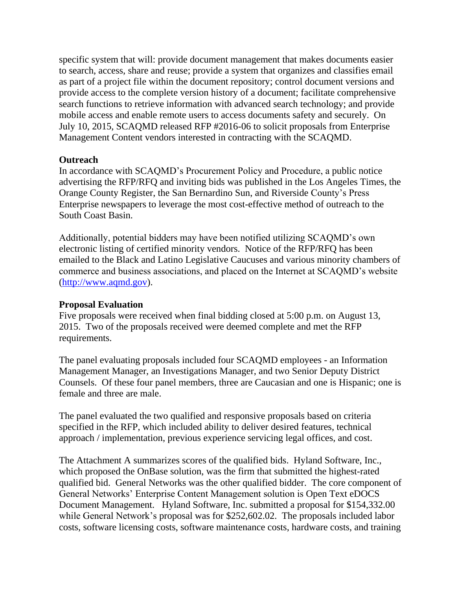specific system that will: provide document management that makes documents easier to search, access, share and reuse; provide a system that organizes and classifies email as part of a project file within the document repository; control document versions and provide access to the complete version history of a document; facilitate comprehensive search functions to retrieve information with advanced search technology; and provide mobile access and enable remote users to access documents safety and securely. On July 10, 2015, SCAQMD released RFP #2016-06 to solicit proposals from Enterprise Management Content vendors interested in contracting with the SCAQMD.

# **Outreach**

In accordance with SCAQMD's Procurement Policy and Procedure, a public notice advertising the RFP/RFQ and inviting bids was published in the Los Angeles Times, the Orange County Register, the San Bernardino Sun, and Riverside County's Press Enterprise newspapers to leverage the most cost-effective method of outreach to the South Coast Basin.

Additionally, potential bidders may have been notified utilizing SCAQMD's own electronic listing of certified minority vendors. Notice of the RFP/RFQ has been emailed to the Black and Latino Legislative Caucuses and various minority chambers of commerce and business associations, and placed on the Internet at SCAQMD's website [\(http://www.aqmd.gov\)](http://www.aqmd.gov/).

## **Proposal Evaluation**

Five proposals were received when final bidding closed at 5:00 p.m. on August 13, 2015. Two of the proposals received were deemed complete and met the RFP requirements.

The panel evaluating proposals included four SCAQMD employees - an Information Management Manager, an Investigations Manager, and two Senior Deputy District Counsels. Of these four panel members, three are Caucasian and one is Hispanic; one is female and three are male.

The panel evaluated the two qualified and responsive proposals based on criteria specified in the RFP, which included ability to deliver desired features, technical approach / implementation, previous experience servicing legal offices, and cost.

The Attachment A summarizes scores of the qualified bids. Hyland Software, Inc., which proposed the OnBase solution, was the firm that submitted the highest-rated qualified bid. General Networks was the other qualified bidder. The core component of General Networks' Enterprise Content Management solution is Open Text eDOCS Document Management. Hyland Software, Inc. submitted a proposal for \$154,332.00 while General Network's proposal was for \$252,602.02. The proposals included labor costs, software licensing costs, software maintenance costs, hardware costs, and training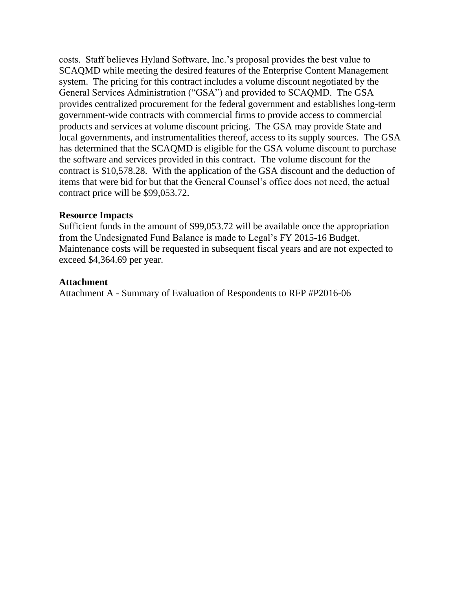costs. Staff believes Hyland Software, Inc.'s proposal provides the best value to SCAQMD while meeting the desired features of the Enterprise Content Management system. The pricing for this contract includes a volume discount negotiated by the General Services Administration ("GSA") and provided to SCAQMD. The GSA provides centralized procurement for the federal government and establishes long-term government-wide contracts with commercial firms to provide access to commercial products and services at volume discount pricing. The GSA may provide State and local governments, and instrumentalities thereof, access to its supply sources. The GSA has determined that the SCAQMD is eligible for the GSA volume discount to purchase the software and services provided in this contract. The volume discount for the contract is \$10,578.28. With the application of the GSA discount and the deduction of items that were bid for but that the General Counsel's office does not need, the actual contract price will be \$99,053.72.

## **Resource Impacts**

Sufficient funds in the amount of \$99,053.72 will be available once the appropriation from the Undesignated Fund Balance is made to Legal's FY 2015-16 Budget. Maintenance costs will be requested in subsequent fiscal years and are not expected to exceed \$4,364.69 per year.

# **Attachment**

Attachment A - Summary of Evaluation of Respondents to RFP #P2016-06